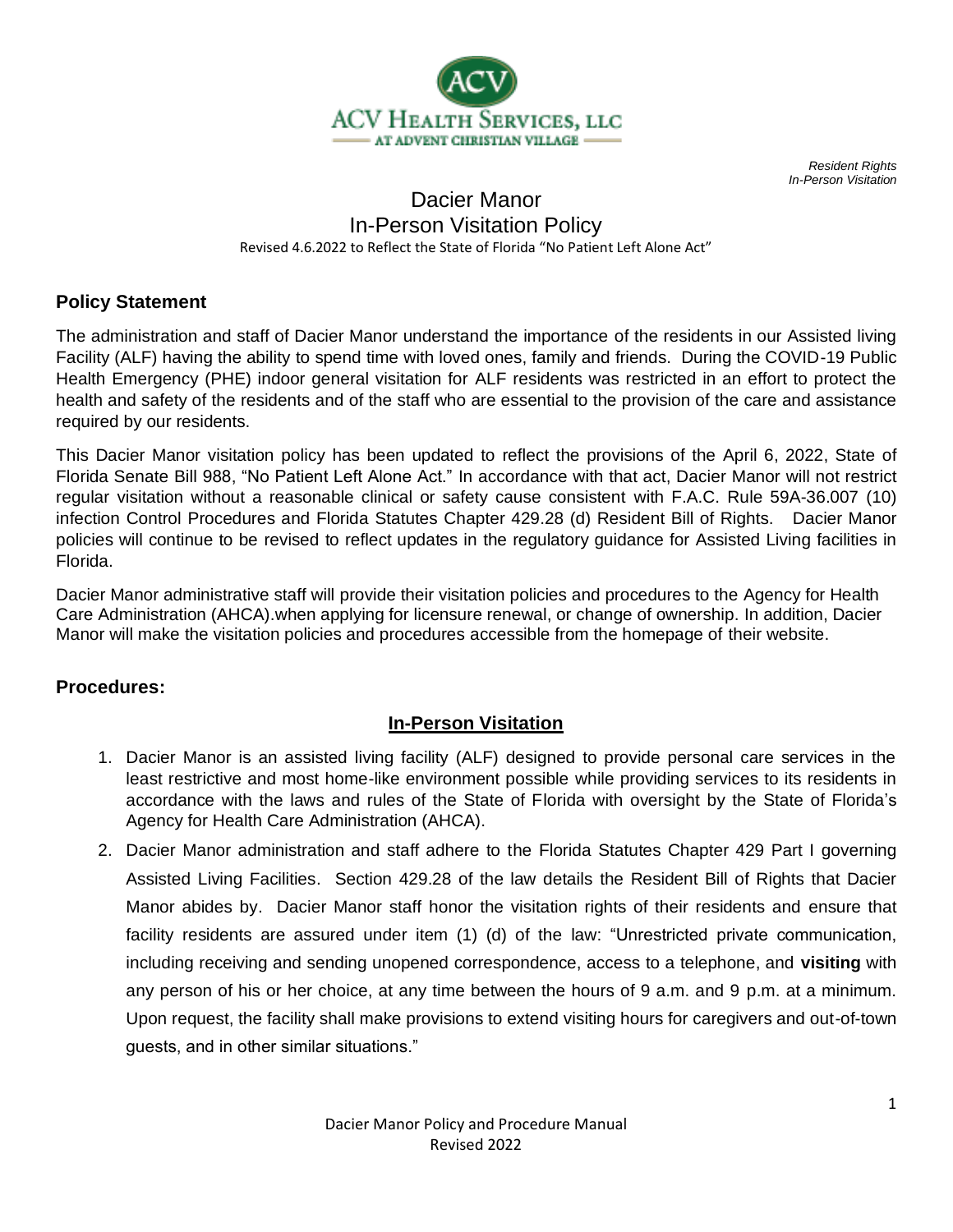

*Resident Rights In-Person Visitation*

## Dacier Manor In-Person Visitation Policy Revised 4.6.2022 to Reflect the State of Florida "No Patient Left Alone Act"

## **Policy Statement**

The administration and staff of Dacier Manor understand the importance of the residents in our Assisted living Facility (ALF) having the ability to spend time with loved ones, family and friends. During the COVID-19 Public Health Emergency (PHE) indoor general visitation for ALF residents was restricted in an effort to protect the health and safety of the residents and of the staff who are essential to the provision of the care and assistance required by our residents.

This Dacier Manor visitation policy has been updated to reflect the provisions of the April 6, 2022, State of Florida Senate Bill 988, "No Patient Left Alone Act." In accordance with that act, Dacier Manor will not restrict regular visitation without a reasonable clinical or safety cause consistent with F.A.C. Rule 59A-36.007 (10) infection Control Procedures and Florida Statutes Chapter 429.28 (d) Resident Bill of Rights. Dacier Manor policies will continue to be revised to reflect updates in the regulatory guidance for Assisted Living facilities in Florida.

Dacier Manor administrative staff will provide their visitation policies and procedures to the Agency for Health Care Administration (AHCA).when applying for licensure renewal, or change of ownership. In addition, Dacier Manor will make the visitation policies and procedures accessible from the homepage of their website.

#### **Procedures:**

#### **In-Person Visitation**

- 1. Dacier Manor is an assisted living facility (ALF) designed to provide personal care services in the least restrictive and most home-like environment possible while providing services to its residents in accordance with the laws and rules of the State of Florida with oversight by the State of Florida's Agency for Health Care Administration (AHCA).
- 2. Dacier Manor administration and staff adhere to the Florida Statutes Chapter 429 Part I governing Assisted Living Facilities. Section 429.28 of the law details the Resident Bill of Rights that Dacier Manor abides by. Dacier Manor staff honor the visitation rights of their residents and ensure that facility residents are assured under item (1) (d) of the law: "Unrestricted private communication, including receiving and sending unopened correspondence, access to a telephone, and **visiting** with any person of his or her choice, at any time between the hours of 9 a.m. and 9 p.m. at a minimum. Upon request, the facility shall make provisions to extend visiting hours for caregivers and out-of-town guests, and in other similar situations."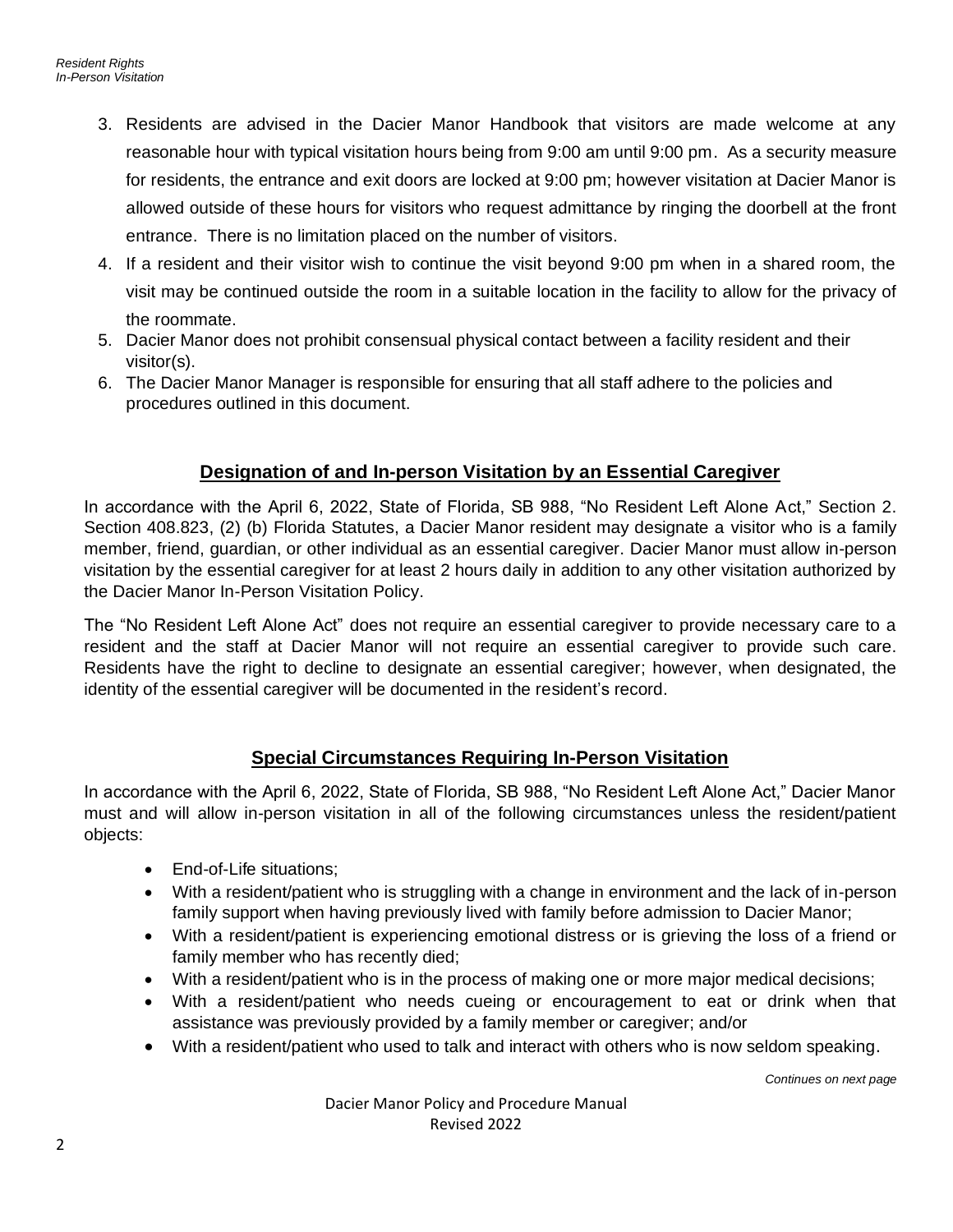- 3. Residents are advised in the Dacier Manor Handbook that visitors are made welcome at any reasonable hour with typical visitation hours being from 9:00 am until 9:00 pm. As a security measure for residents, the entrance and exit doors are locked at 9:00 pm; however visitation at Dacier Manor is allowed outside of these hours for visitors who request admittance by ringing the doorbell at the front entrance. There is no limitation placed on the number of visitors.
- 4. If a resident and their visitor wish to continue the visit beyond 9:00 pm when in a shared room, the visit may be continued outside the room in a suitable location in the facility to allow for the privacy of the roommate.
- 5. Dacier Manor does not prohibit consensual physical contact between a facility resident and their visitor(s).
- 6. The Dacier Manor Manager is responsible for ensuring that all staff adhere to the policies and procedures outlined in this document.

# **Designation of and In-person Visitation by an Essential Caregiver**

In accordance with the April 6, 2022, State of Florida, SB 988, "No Resident Left Alone Act," Section 2. Section 408.823, (2) (b) Florida Statutes, a Dacier Manor resident may designate a visitor who is a family member, friend, guardian, or other individual as an essential caregiver. Dacier Manor must allow in-person visitation by the essential caregiver for at least 2 hours daily in addition to any other visitation authorized by the Dacier Manor In-Person Visitation Policy.

The "No Resident Left Alone Act" does not require an essential caregiver to provide necessary care to a resident and the staff at Dacier Manor will not require an essential caregiver to provide such care. Residents have the right to decline to designate an essential caregiver; however, when designated, the identity of the essential caregiver will be documented in the resident's record.

#### **Special Circumstances Requiring In-Person Visitation**

In accordance with the April 6, 2022, State of Florida, SB 988, "No Resident Left Alone Act," Dacier Manor must and will allow in-person visitation in all of the following circumstances unless the resident/patient objects:

- End-of-Life situations;
- With a resident/patient who is struggling with a change in environment and the lack of in-person family support when having previously lived with family before admission to Dacier Manor;
- With a resident/patient is experiencing emotional distress or is grieving the loss of a friend or family member who has recently died;
- With a resident/patient who is in the process of making one or more major medical decisions;
- With a resident/patient who needs cueing or encouragement to eat or drink when that assistance was previously provided by a family member or caregiver; and/or
- With a resident/patient who used to talk and interact with others who is now seldom speaking.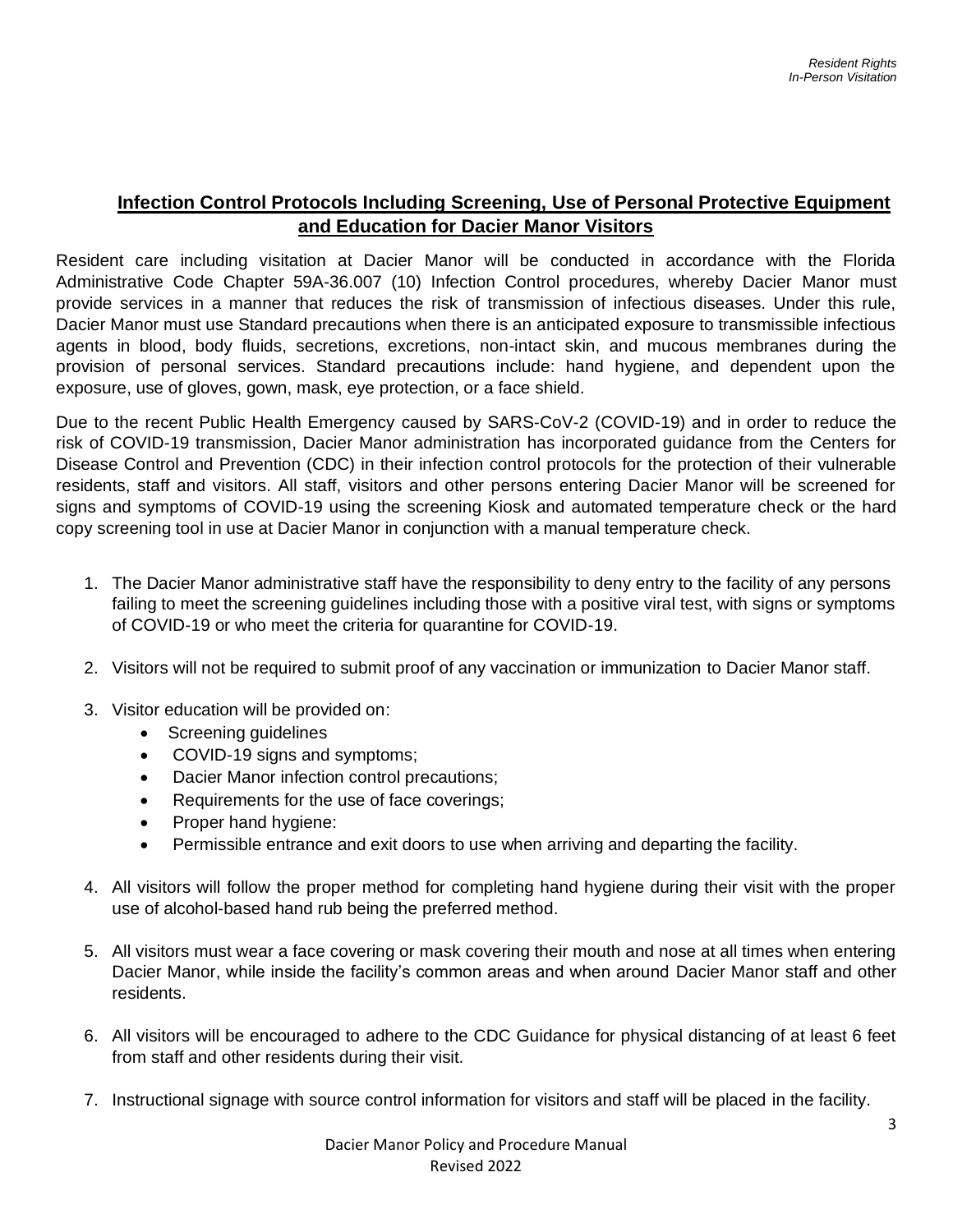## **Infection Control Protocols Including Screening, Use of Personal Protective Equipment and Education for Dacier Manor Visitors**

Resident care including visitation at Dacier Manor will be conducted in accordance with the Florida Administrative Code Chapter 59A-36.007 (10) Infection Control procedures, whereby Dacier Manor must provide services in a manner that reduces the risk of transmission of infectious diseases. Under this rule, Dacier Manor must use Standard precautions when there is an anticipated exposure to transmissible infectious agents in blood, body fluids, secretions, excretions, non-intact skin, and mucous membranes during the provision of personal services. Standard precautions include: hand hygiene, and dependent upon the exposure, use of gloves, gown, mask, eye protection, or a face shield.

Due to the recent Public Health Emergency caused by SARS-CoV-2 (COVID-19) and in order to reduce the risk of COVID-19 transmission, Dacier Manor administration has incorporated guidance from the Centers for Disease Control and Prevention (CDC) in their infection control protocols for the protection of their vulnerable residents, staff and visitors. All staff, visitors and other persons entering Dacier Manor will be screened for signs and symptoms of COVID-19 using the screening Kiosk and automated temperature check or the hard copy screening tool in use at Dacier Manor in conjunction with a manual temperature check.

- 1. The Dacier Manor administrative staff have the responsibility to deny entry to the facility of any persons failing to meet the screening guidelines including those with a positive viral test, with signs or symptoms of COVID-19 or who meet the criteria for quarantine for COVID-19.
- 2. Visitors will not be required to submit proof of any vaccination or immunization to Dacier Manor staff.
- 3. Visitor education will be provided on:
	- Screening guidelines
	- COVID-19 signs and symptoms;
	- Dacier Manor infection control precautions;
	- Requirements for the use of face coverings;
	- Proper hand hygiene:
	- Permissible entrance and exit doors to use when arriving and departing the facility.
- 4. All visitors will follow the proper method for completing hand hygiene during their visit with the proper use of alcohol-based hand rub being the preferred method.
- 5. All visitors must wear a face covering or mask covering their mouth and nose at all times when entering Dacier Manor, while inside the facility's common areas and when around Dacier Manor staff and other residents.
- 6. All visitors will be encouraged to adhere to the CDC Guidance for physical distancing of at least 6 feet from staff and other residents during their visit.
- 7. Instructional signage with source control information for visitors and staff will be placed in the facility.